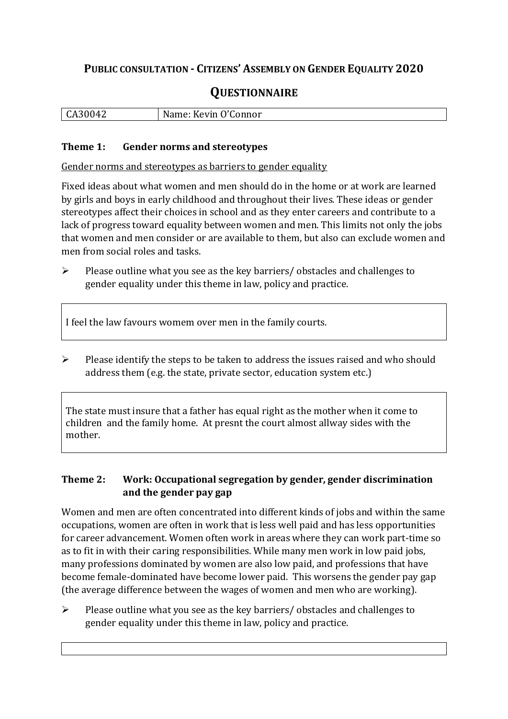## **PUBLIC CONSULTATION - CITIZENS' ASSEMBLY ON GENDER EQUALITY 2020**

# **QUESTIONNAIRE**

| CA30042 | Name: Kevin O'Connor |
|---------|----------------------|
|         |                      |

#### **Theme 1: Gender norms and stereotypes**

Gender norms and stereotypes as barriers to gender equality

Fixed ideas about what women and men should do in the home or at work are learned by girls and boys in early childhood and throughout their lives. These ideas or gender stereotypes affect their choices in school and as they enter careers and contribute to a lack of progress toward equality between women and men. This limits not only the jobs that women and men consider or are available to them, but also can exclude women and men from social roles and tasks.

➢ Please outline what you see as the key barriers/ obstacles and challenges to gender equality under this theme in law, policy and practice.

I feel the law favours womem over men in the family courts.

➢ Please identify the steps to be taken to address the issues raised and who should address them (e.g. the state, private sector, education system etc.)

The state must insure that a father has equal right as the mother when it come to children and the family home. At presnt the court almost allway sides with the mother.

#### **Theme 2: Work: Occupational segregation by gender, gender discrimination and the gender pay gap**

Women and men are often concentrated into different kinds of jobs and within the same occupations, women are often in work that is less well paid and has less opportunities for career advancement. Women often work in areas where they can work part-time so as to fit in with their caring responsibilities. While many men work in low paid jobs, many professions dominated by women are also low paid, and professions that have become female-dominated have become lower paid. This worsens the gender pay gap (the average difference between the wages of women and men who are working).

➢ Please outline what you see as the key barriers/ obstacles and challenges to gender equality under this theme in law, policy and practice.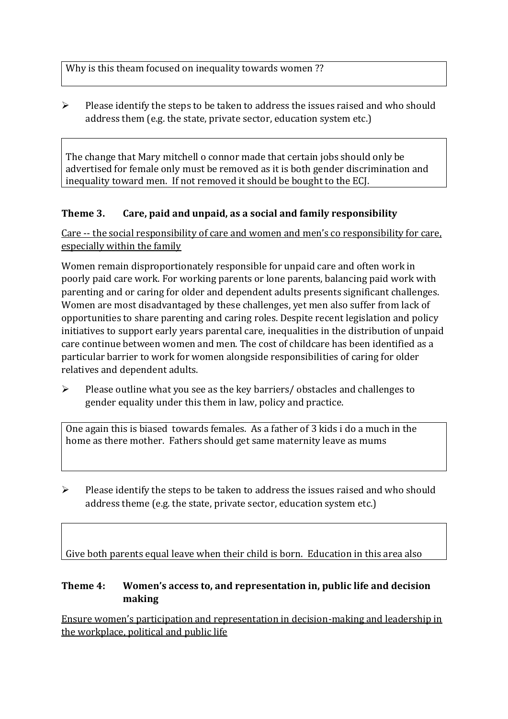Why is this theam focused on inequality towards women ??

➢ Please identify the steps to be taken to address the issues raised and who should address them (e.g. the state, private sector, education system etc.)

The change that Mary mitchell o connor made that certain jobs should only be advertised for female only must be removed as it is both gender discrimination and inequality toward men. If not removed it should be bought to the ECJ.

## **Theme 3. Care, paid and unpaid, as a social and family responsibility**

Care -- the social responsibility of care and women and men's co responsibility for care, especially within the family

Women remain disproportionately responsible for unpaid care and often work in poorly paid care work. For working parents or [lone parents,](https://aran.library.nuigalway.ie/bitstream/handle/10379/6044/Millar_and_Crosse_Activation_Report.pdf?sequence=1&isAllowed=y) balancing paid work with parenting and or caring for older and dependent adults presents significant challenges. Women are [most disadvantaged by these challenges,](https://eige.europa.eu/gender-equality-index/game/IE/W) yet men also suffer from lack of opportunities to share parenting and caring roles. Despite recent legislation and policy initiatives to support early years parental care, [inequalities in the distribution of unpaid](https://www.ihrec.ie/app/uploads/2019/07/Caring-and-Unpaid-Work-in-Ireland_Final.pdf)  [care](https://www.ihrec.ie/app/uploads/2019/07/Caring-and-Unpaid-Work-in-Ireland_Final.pdf) continue between women and men. The cost of childcare has been identified as a particular barrier to work for women alongside responsibilities of caring for older relatives and dependent adults.

➢ Please outline what you see as the key barriers/ obstacles and challenges to gender equality under this them in law, policy and practice.

One again this is biased towards females. As a father of 3 kids i do a much in the home as there mother. Fathers should get same maternity leave as mums

➢ Please identify the steps to be taken to address the issues raised and who should address theme (e.g. the state, private sector, education system etc.)

Give both parents equal leave when their child is born. Education in this area also

#### **Theme 4: Women's access to, and representation in, public life and decision making**

Ensure women's participation and representation in decision-making and leadership in the workplace, political and public life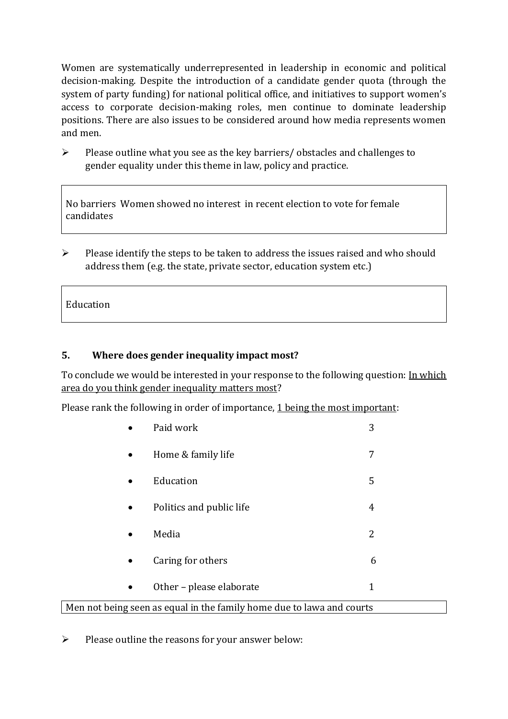Women are systematically underrepresented in leadership in [economic](https://eige.europa.eu/gender-equality-index/2019/compare-countries/power/2/bar) and [political](https://eige.europa.eu/gender-equality-index/2019/compare-countries/power/1/bar)  [decision-](https://eige.europa.eu/gender-equality-index/2019/compare-countries/power/1/bar)making. Despite the introduction of a candidate gender quota (through the system of party funding) for national political office, and [initiatives](https://betterbalance.ie/) to support women's access to corporate decision-making roles, men continue to dominate leadership positions. There are also issues to be considered around how media represents women and men.

➢ Please outline what you see as the key barriers/ obstacles and challenges to gender equality under this theme in law, policy and practice.

No barriers Women showed no interest in recent election to vote for female candidates

 $\triangleright$  Please identify the steps to be taken to address the issues raised and who should address them (e.g. the state, private sector, education system etc.)

Education

### **5. Where does gender inequality impact most?**

To conclude we would be interested in your response to the following question: In which area do you think gender inequality matters most?

Please rank the following in order of importance, 1 being the most important:

|                                                                       | Paid work                | 3 |  |
|-----------------------------------------------------------------------|--------------------------|---|--|
| $\bullet$                                                             | Home & family life       | 7 |  |
| $\bullet$                                                             | Education                | 5 |  |
| $\bullet$                                                             | Politics and public life | 4 |  |
| $\bullet$                                                             | Media                    | 2 |  |
| $\bullet$                                                             | Caring for others        | 6 |  |
| $\bullet$                                                             | Other - please elaborate | 1 |  |
| Men not being seen as equal in the family home due to lawa and courts |                          |   |  |

➢ Please outline the reasons for your answer below: